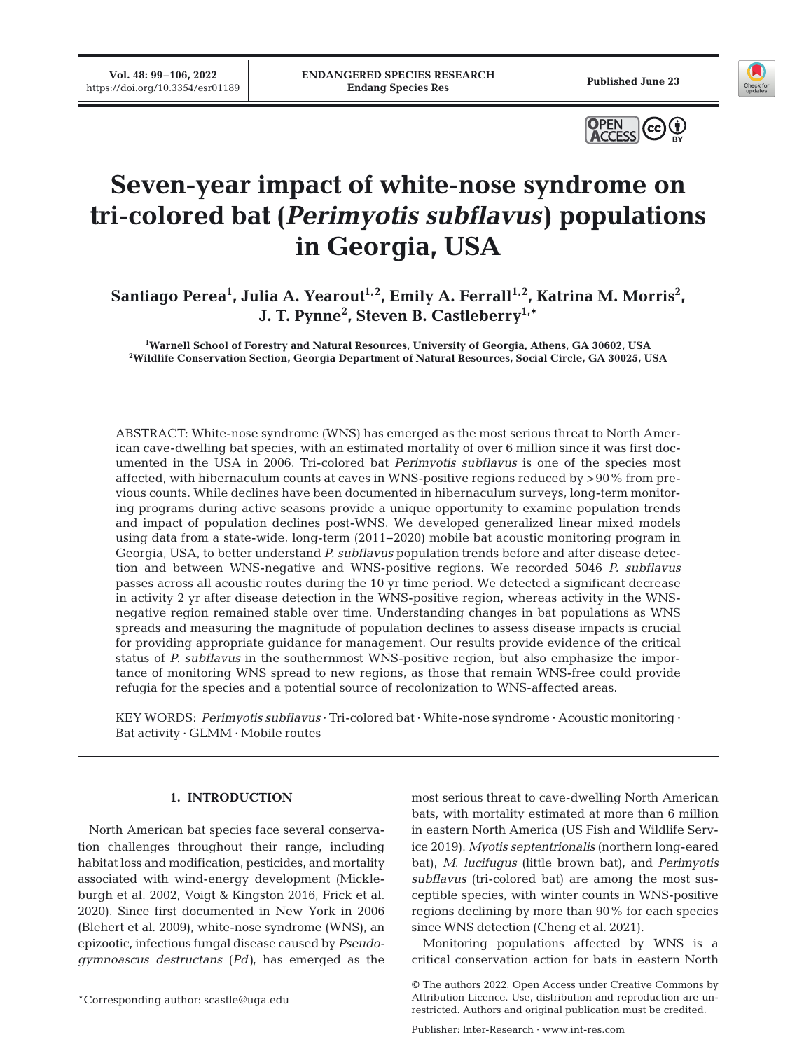**Vol. 48: 99–106, 2022** 





# **Seven-year impact of white-nose syndrome on tri-colored bat (***Perimyotis subflavus)* **populations in Georgia, USA**

Santiago Perea<sup>1</sup>, Julia A. Yearout<sup>1,2</sup>, Emily A. Ferrall<sup>1,2</sup>, Katrina M. Morris<sup>2</sup>, **J. T. Pynne2 , Steven B. Castleberry1,\***

<sup>1</sup>Warnell School of Forestry and Natural Resources, University of Georgia, Athens, GA 30602, USA **Warnell School of Forestry and Natural Resources, University of Georgia, Athens, GA 30602, USA 2 Wildlife Conservation Section, Georgia Department of Natural Resources, Social Circle, GA 30025, USA**

ABSTRACT: White-nose syndrome (WNS) has emerged as the most serious threat to North American cave-dwelling bat species, with an estimated mortality of over 6 million since it was first documented in the USA in 2006. Tri-colored bat *Perimyotis subflavus* is one of the species most affected, with hibernaculum counts at caves in WNS-positive regions reduced by >90% from previous counts. While declines have been documented in hibernaculum surveys, long-term monitoring programs during active seasons provide a unique opportunity to examine population trends and impact of population declines post-WNS. We developed generalized linear mixed models using data from a state-wide, long-term (2011−2020) mobile bat acoustic monitoring program in Georgia, USA, to better understand *P. subflavus* population trends before and after disease detection and between WNS-negative and WNS-positive regions. We recorded 5046 *P. subflavus* passes across all acoustic routes during the 10 yr time period. We detected a significant decrease in activity 2 yr after disease detection in the WNS-positive region, whereas activity in the WNSnegative region remained stable over time. Understanding changes in bat populations as WNS spreads and measuring the magnitude of population declines to assess disease impacts is crucial for providing appropriate guidance for management. Our results provide evidence of the critical status of *P. subflavus* in the southernmost WNS-positive region, but also emphasize the importance of monitoring WNS spread to new regions, as those that remain WNS-free could provide refugia for the species and a potential source of recolonization to WNS-affected areas.

KEY WORDS: *Perimyotis subflavus* · Tri-colored bat · White-nose syndrome · Acoustic monitoring · Bat activity · GLMM · Mobile routes

## **1. INTRODUCTION**

North American bat species face several conservation challenges throughout their range, including habitat loss and modification, pesticides, and mortality associated with wind-energy development (Mickle burgh et al. 2002, Voigt & Kingston 2016, Frick et al. 2020). Since first documented in New York in 2006 (Blehert et al. 2009), white-nose syndrome (WNS), an epizootic, infectious fungal disease caused by *Pseudo gymnoascus destructans* (*Pd)*, has emerged as the

most serious threat to cave-dwelling North American bats, with mortality estimated at more than 6 million in eastern North America (US Fish and Wildlife Service 2019). *Myotis septentrionalis* (northern long-eared bat), *M. lucifugus* (little brown bat), and *Perimyotis sub flavus* (tri-colored bat) are among the most susceptible species, with winter counts in WNS-positive regions declining by more than 90% for each species since WNS detection (Cheng et al. 2021).

Monitoring populations affected by WNS is a critical conservation action for bats in eastern North

<sup>\*</sup>Corresponding author: scastle@uga.edu

<sup>©</sup> The authors 2022. Open Access under Creative Commons by Attribution Licence. Use, distribution and reproduction are unrestricted. Authors and original publication must be credited.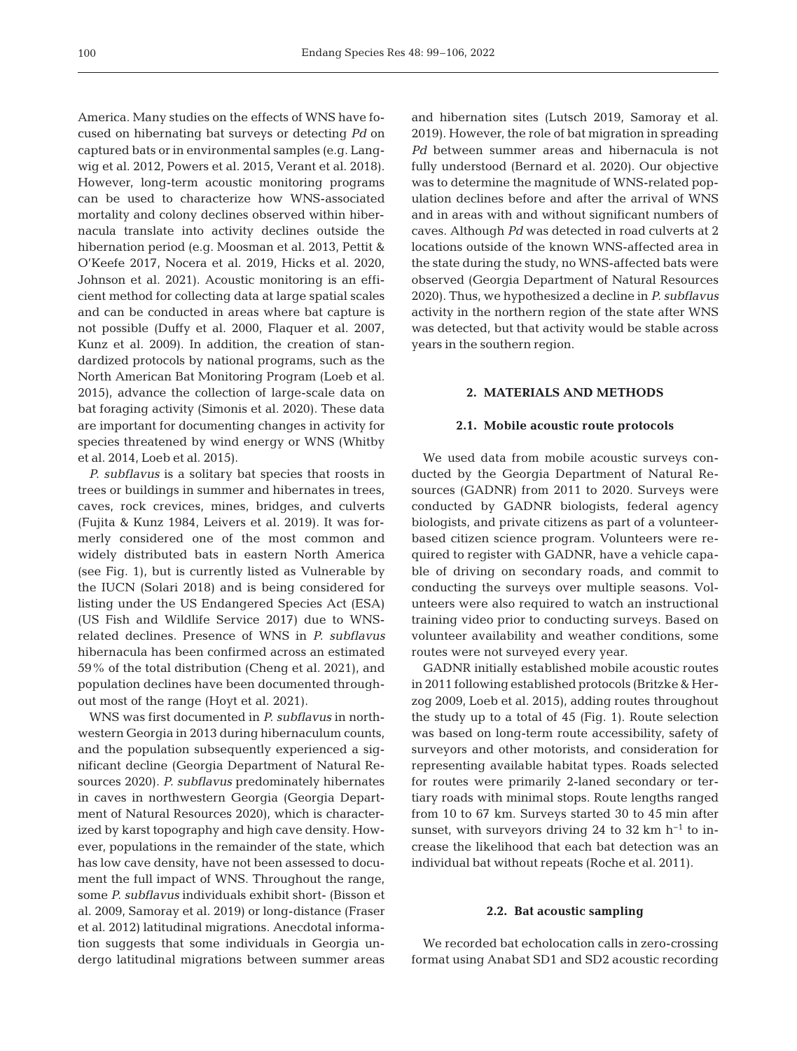America. Many studies on the effects of WNS have focused on hibernating bat surveys or detecting *Pd* on captured bats or in environmental samples (e.g. Langwig et al. 2012, Powers et al. 2015, Verant et al. 2018). However, long-term acoustic monitoring programs can be used to characterize how WNS-associated mortality and colony declines observed within hibernacula translate into activity declines outside the hibernation period (e.g. Moosman et al. 2013, Pettit & O'Keefe 2017, Nocera et al. 2019, Hicks et al. 2020, Johnson et al. 2021). Acoustic monitoring is an efficient method for collecting data at large spatial scales and can be conducted in areas where bat capture is not possible (Duffy et al. 2000, Flaquer et al. 2007, Kunz et al. 2009). In addition, the creation of standardized protocols by national programs, such as the North American Bat Monitoring Program (Loeb et al. 2015), advance the collection of large-scale data on bat foraging activity (Simonis et al. 2020). These data are important for documenting changes in activity for species threatened by wind energy or WNS (Whitby et al. 2014, Loeb et al. 2015).

*P. subflavus* is a solitary bat species that roosts in trees or buildings in summer and hibernates in trees, caves, rock crevices, mines, bridges, and culverts (Fujita & Kunz 1984, Leivers et al. 2019). It was formerly considered one of the most common and widely distributed bats in eastern North America (see Fig. 1), but is currently listed as Vulnerable by the IUCN (Solari 2018) and is being considered for listing under the US Endangered Species Act (ESA) (US Fish and Wildlife Service 2017) due to WNSrelated de clines. Presence of WNS in *P. subflavus* hibernacula has been confirmed across an estimated 59% of the total distribution (Cheng et al. 2021), and population declines have been documented throughout most of the range (Hoyt et al. 2021).

WNS was first documented in *P. subflavus* in northwestern Georgia in 2013 during hibernaculum counts, and the population subsequently experienced a significant decline (Georgia Department of Natural Resources 2020). *P. subflavus* predominately hibernates in caves in northwestern Georgia (Georgia Department of Natural Resources 2020), which is characterized by karst topography and high cave density. However, populations in the remainder of the state, which has low cave density, have not been assessed to document the full impact of WNS. Throughout the range, some *P. subflavus* individuals exhibit short- (Bisson et al. 2009, Samoray et al. 2019) or long-distance (Fraser et al. 2012) latitudinal migrations. Anecdotal information suggests that some individuals in Georgia undergo latitudinal migrations between summer areas and hibernation sites (Lutsch 2019, Samoray et al. 2019). However, the role of bat migration in spreading *Pd* between summer areas and hibernacula is not fully understood (Bernard et al. 2020). Our objective was to determine the magnitude of WNS-related population declines before and after the arrival of WNS and in areas with and without significant numbers of caves. Although *Pd* was detected in road culverts at 2 locations outside of the known WNS-affected area in the state during the study, no WNS-affected bats were observed (Georgia Department of Natural Resources 2020). Thus, we hypothesized a decline in *P. subflavus* activity in the northern region of the state after WNS was detected, but that activity would be stable across years in the southern region.

# **2. MATERIALS AND METHODS**

## **2.1. Mobile acoustic route protocols**

We used data from mobile acoustic surveys conducted by the Georgia Department of Natural Resources (GADNR) from 2011 to 2020. Surveys were conducted by GADNR biologists, federal agency biologists, and private citizens as part of a volunteerbased citizen science program. Volunteers were required to register with GADNR, have a vehicle capable of driving on secondary roads, and commit to conducting the surveys over multiple seasons. Volunteers were also required to watch an instructional training video prior to conducting surveys. Based on volunteer availability and weather conditions, some routes were not surveyed every year.

GADNR initially established mobile acoustic routes in 2011 following established protocols (Britzke & Her zog 2009, Loeb et al. 2015), adding routes throughout the study up to a total of 45 (Fig. 1). Route selection was based on long-term route accessibility, safety of surveyors and other motorists, and consideration for representing available habitat types. Roads selected for routes were primarily 2-laned secondary or tertiary roads with minimal stops. Route lengths ranged from 10 to 67 km. Surveys started 30 to 45 min after sunset, with surveyors driving 24 to 32 km  $h^{-1}$  to increase the likelihood that each bat detection was an individual bat without repeats (Roche et al. 2011).

#### **2.2. Bat acoustic sampling**

We recorded bat echolocation calls in zero-crossing format using Anabat SD1 and SD2 acoustic recording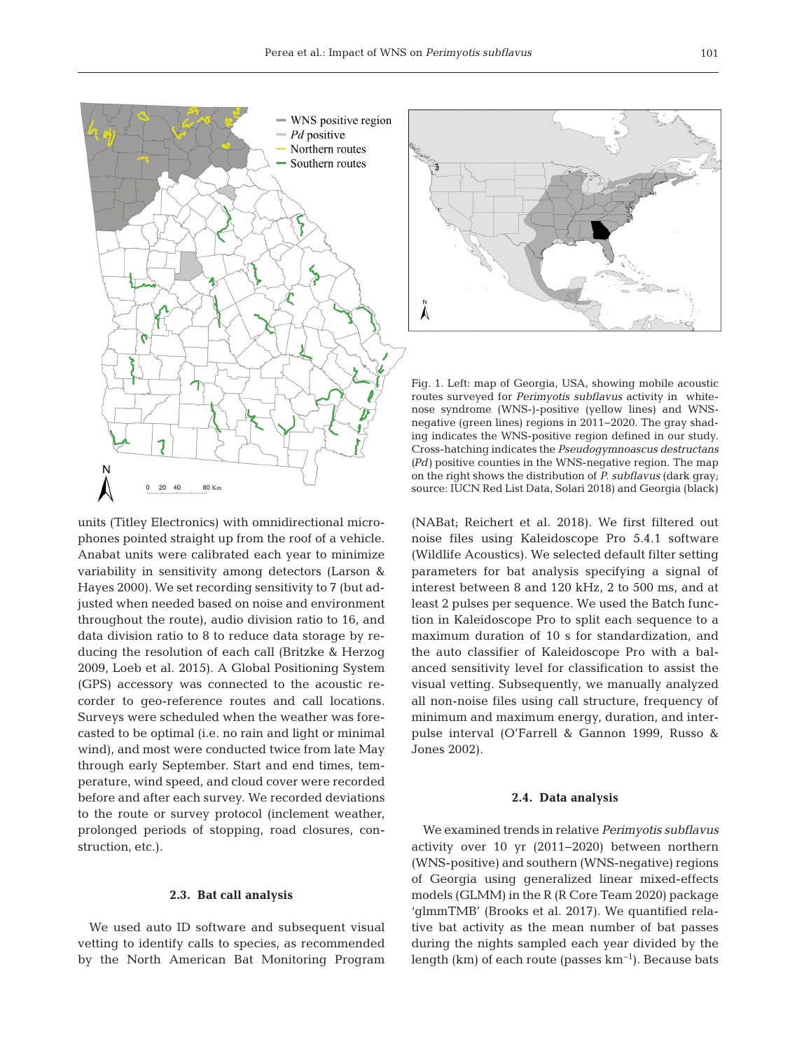

units (Titley Electronics) with omnidirectional microphones pointed straight up from the roof of a vehicle. Anabat units were calibrated each year to minimize variability in sensitivity among detectors (Larson & Hayes 2000). We set recording sensitivity to 7 (but adjusted when needed based on noise and environment throughout the route), audio division ratio to 16, and data division ratio to 8 to reduce data storage by reducing the resolution of each call (Britzke & Herzog 2009, Loeb et al. 2015). A Global Positioning System (GPS) accessory was connected to the acoustic re corder to geo-reference routes and call locations. Surveys were scheduled when the weather was forecasted to be optimal (i.e. no rain and light or minimal wind), and most were conducted twice from late May through early September. Start and end times, temperature, wind speed, and cloud cover were recorded before and after each survey. We recorded deviations to the route or survey protocol (inclement weather, prolonged periods of stopping, road closures, construction, etc.).

#### **2.3. Bat call analysis**

We used auto ID software and subsequent visual vetting to identify calls to species, as recommended by the North American Bat Monitoring Program

A

Fig. 1. Left: map of Georgia, USA, showing mobile acoustic routes surveyed for *Perimyotis subflavus* activity in whitenose syndrome (WNS-)-positive (yellow lines) and WNSnegative (green lines) regions in 2011−2020. The gray shading indicates the WNS-positive region defined in our study. Cross-hatching indicates the *Pseudogymnoascus destructans (Pd)* positive counties in the WNS-negative region. The map on the right shows the distribution of *P. subflavus* (dark gray; source: IUCN Red List Data, Solari 2018) and Georgia (black)

(NABat; Reichert et al. 2018). We first filtered out noise files using Kaleidoscope Pro 5.4.1 software (Wildlife Acoustics). We selected default filter setting parameters for bat analysis specifying a signal of interest between 8 and 120 kHz, 2 to 500 ms, and at least 2 pulses per sequence. We used the Batch function in Kaleidoscope Pro to split each sequence to a maximum duration of 10 s for standardization, and the auto classifier of Kaleidoscope Pro with a balanced sensitivity level for classification to assist the visual vetting. Subsequently, we manually analyzed all non-noise files using call structure, frequency of minimum and maximum energy, duration, and interpulse interval (O'Farrell & Gannon 1999, Russo & Jones 2002).

#### **2.4. Data analysis**

We examined trends in relative *Perimyotis subflavus* activity over 10 yr (2011−2020) between northern (WNS-positive) and southern (WNS-negative) regions of Georgia using generalized linear mixed-effects models (GLMM) in the R (R Core Team 2020) package 'glmmTMB' (Brooks et al. 2017). We quantified relative bat activity as the mean number of bat passes during the nights sampled each year divided by the length (km) of each route (passes  $km^{-1}$ ). Because bats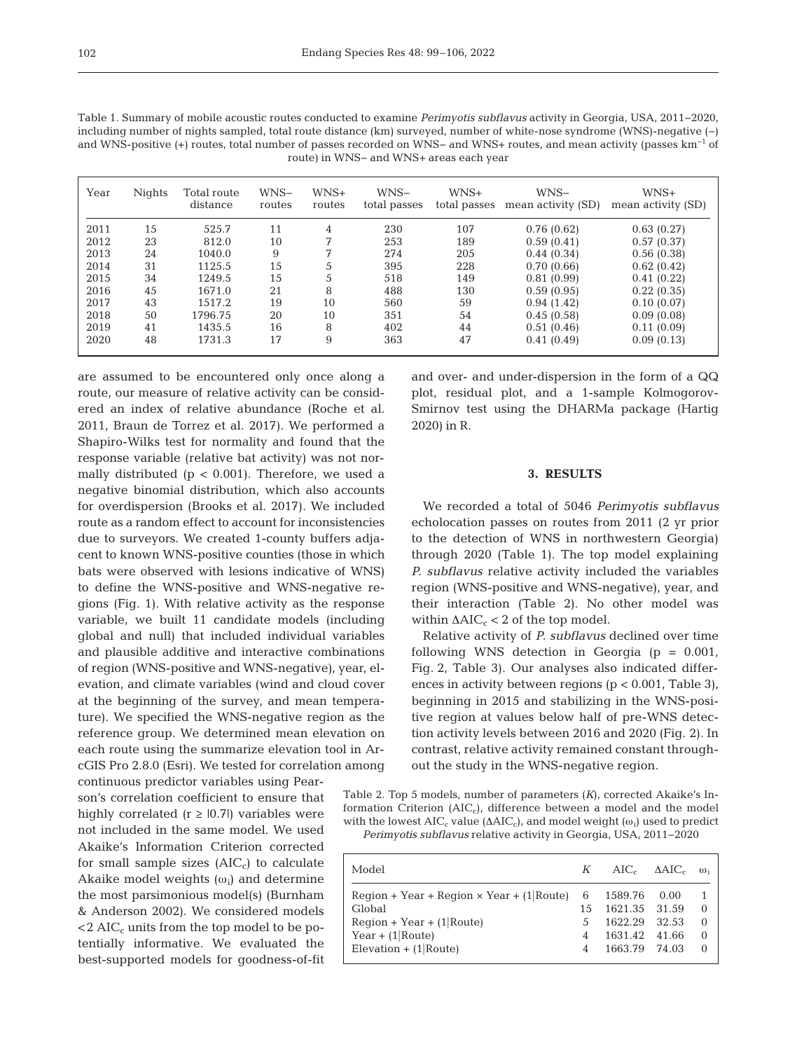| Table 1. Summary of mobile acoustic routes conducted to examine <i>Perimyotis subflavus</i> activity in Georgia, USA, 2011–2020, |
|----------------------------------------------------------------------------------------------------------------------------------|
| including number of nights sampled, total route distance $(km)$ surveyed, number of white-nose syndrome (WNS)-negative $(-)$     |
| and WNS-positive $(+)$ routes, total number of passes recorded on WNS- and WNS+ routes, and mean activity (passes $km^{-1}$ of   |
| route) in WNS- and WNS+ areas each year                                                                                          |

| Year | Nights | Total route<br>distance | WNS-<br>routes | $WNS+$<br>routes | WNS-<br>total passes | $WNS+$<br>total passes | WNS-<br>mean activity (SD) | WNS+<br>mean activity (SD) |
|------|--------|-------------------------|----------------|------------------|----------------------|------------------------|----------------------------|----------------------------|
| 2011 | 15     | 525.7                   | 11             | 4                | 230                  | 107                    | 0.76(0.62)                 | 0.63(0.27)                 |
| 2012 | 23     | 812.0                   | 10             |                  | 253                  | 189                    | 0.59(0.41)                 | 0.57(0.37)                 |
| 2013 | 24     | 1040.0                  | 9              | 7                | 274                  | 205                    | 0.44(0.34)                 | 0.56(0.38)                 |
| 2014 | 31     | 1125.5                  | 15             | 5                | 395                  | 228                    | 0.70(0.66)                 | 0.62(0.42)                 |
| 2015 | 34     | 1249.5                  | 15             | 5                | 518                  | 149                    | 0.81(0.99)                 | 0.41(0.22)                 |
| 2016 | 45     | 1671.0                  | 21             | 8                | 488                  | 130                    | 0.59(0.95)                 | 0.22(0.35)                 |
| 2017 | 43     | 1517.2                  | 19             | 10               | 560                  | 59                     | 0.94(1.42)                 | 0.10(0.07)                 |
| 2018 | 50     | 1796.75                 | 20             | 10               | 351                  | 54                     | 0.45(0.58)                 | 0.09(0.08)                 |
| 2019 | 41     | 1435.5                  | 16             | 8                | 402                  | 44                     | 0.51(0.46)                 | 0.11(0.09)                 |
| 2020 | 48     | 1731.3                  | 17             | 9                | 363                  | 47                     | 0.41(0.49)                 | 0.09(0.13)                 |

are assumed to be encountered only once along a route, our measure of relative activity can be considered an index of relative abundance (Roche et al. 2011, Braun de Torrez et al. 2017). We performed a Shapiro-Wilks test for normality and found that the response variable (relative bat activity) was not normally distributed ( $p < 0.001$ ). Therefore, we used a negative binomial distribution, which also accounts for overdispersion (Brooks et al. 2017). We included route as a random effect to account for inconsistencies due to surveyors. We created 1-county buffers adjacent to known WNS-positive counties (those in which bats were observed with lesions indicative of WNS) to define the WNS-positive and WNS-negative regions (Fig. 1). With relative activity as the response variable, we built 11 candidate models (including global and null) that included individual variables and plausible additive and interactive combinations of region (WNS-positive and WNS-negative), year, elevation, and climate variables (wind and cloud cover at the beginning of the survey, and mean temperature). We specified the WNS-negative region as the reference group. We determined mean elevation on each route using the summarize elevation tool in ArcGIS Pro 2.8.0 (Esri). We tested for correlation among continuous predictor variables using Pear-

son's correlation coefficient to ensure that highly correlated ( $r \geq 0.7$ ) variables were not included in the same model. We used Akaike's Information Criterion corrected for small sample sizes  $(AIC<sub>c</sub>)$  to calculate Akaike model weights  $(\omega_i)$  and determine the most parsimonious model(s) (Burnham & Anderson 2002). We considered models  $<$  2 AIC<sub>c</sub> units from the top model to be potentially informative. We evaluated the best-supported models for goodness-of-fit and over- and under-dispersion in the form of a QQ plot, residual plot, and a 1-sample Kolmogorov-Smirnov test using the DHARMa package (Hartig 2020) in R.

## **3. RESULTS**

We recorded a total of 5046 *Perimyotis subflavus* echolocation passes on routes from 2011 (2 yr prior to the detection of WNS in northwestern Georgia) through 2020 (Table 1). The top model explaining *P. subflavus* relative activity included the variables region (WNS-positive and WNS-negative), year, and their interaction (Table 2). No other model was within  $ΔAIC<sub>c</sub> < 2$  of the top model.

Relative activity of *P. subflavus* declined over time following WNS detection in Georgia  $(p = 0.001,$ Fig. 2, Table 3). Our analyses also indicated differences in activity between regions ( $p < 0.001$ , Table 3), beginning in 2015 and stabilizing in the WNS-positive region at values below half of pre-WNS detection activity levels between 2016 and 2020 (Fig. 2). In contrast, relative activity remained constant throughout the study in the WNS-negative region.

Table 2. Top 5 models, number of parameters (*K*), corrected Akaike's Information Criterion  $(AIC_c)$ , difference between a model and the model with the lowest  $AIC_c$  value ( $\Delta AIC_c$ ), and model weight ( $\omega_i$ ) used to predict *Perimyotis subflavus* relative activity in Georgia, USA, 2011−2020

| Model                                             |     | $K$ AIC <sub>c</sub> $\Delta AIC_c$ $\omega_i$ |         |          |
|---------------------------------------------------|-----|------------------------------------------------|---------|----------|
| $Region + Year + Region \times Year + (1) Route)$ | 6   | 1589.76                                        | 0.00    | -1       |
| Global                                            | 1.5 | 1621.35 31.59                                  |         | $\Omega$ |
| $Region + Year + (1 Route)$                       | 5   | 1622.29 32.53                                  |         | $\Omega$ |
| Year $+$ (1 Route)                                | 4   | 1631.42                                        | - 41.66 | $\Omega$ |
| Elevation $+$ (1 Route)                           | 4   | 1663.79 74.03                                  |         | $\Omega$ |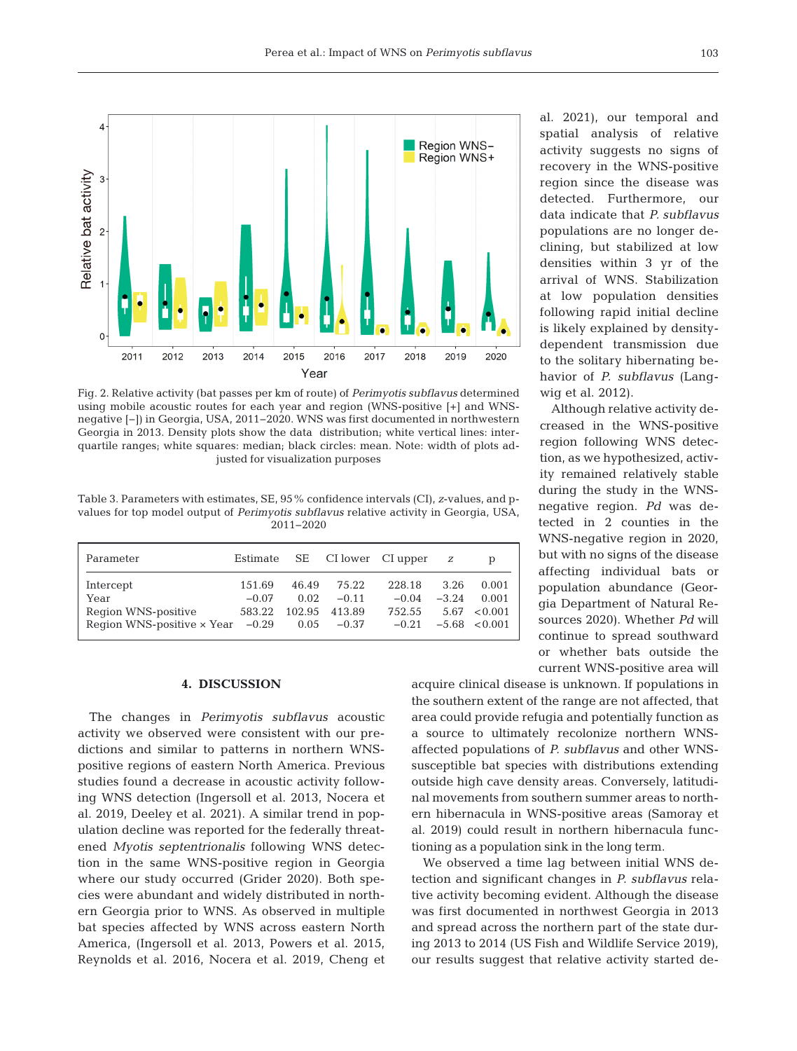

Fig. 2. Relative activity (bat passes per km of route) of *Perimyotis subflavus* determined using mobile acoustic routes for each year and region (WNS-positive [+] and WNSnegative [−]) in Georgia, USA, 2011−2020. WNS was first documented in northwestern Georgia in 2013. Density plots show the data distribution; white vertical lines: inter quartile ranges; white squares: median; black circles: mean. Note: width of plots adjusted for visualization purposes

Table 3. Parameters with estimates, SE, 95% confidence intervals (CI), *z*-values, and pvalues for top model output of *Perimyotis subflavus* relative activity in Georgia, USA, 2011−2020

| Parameter                                 |         |       |               | Estimate $SE$ CI lower CI upper $z$ |         | D                 |
|-------------------------------------------|---------|-------|---------------|-------------------------------------|---------|-------------------|
| Intercept                                 | 151.69  | 46.49 | 75.22         | 228.18                              | 3.26    | 0.001             |
| Year                                      | $-0.07$ | 0.02. | $-0.11$       | $-0.04$                             | $-3.24$ | 0.001             |
| Region WNS-positive                       | 583.22  |       | 102.95 413.89 | 752.55                              |         | $5.67 \le 0.001$  |
| Region WNS-positive $\times$ Year $-0.29$ |         |       | $0.05 -0.37$  | $-0.21$                             |         | $-5.68 \le 0.001$ |

#### **4. DISCUSSION**

The changes in *Perimyotis subflavus* acoustic activity we observed were consistent with our predictions and similar to patterns in northern WNSpositive regions of eastern North America. Previous studies found a decrease in acoustic activity following WNS detection (Ingersoll et al. 2013, Nocera et al. 2019, Deeley et al. 2021). A similar trend in population decline was reported for the federally threatened *Myotis septentrionalis* following WNS detection in the same WNS-positive region in Georgia where our study occurred (Grider 2020). Both species were abundant and widely distributed in northern Georgia prior to WNS. As observed in multiple bat species affected by WNS across eastern North America, (Ingersoll et al. 2013, Powers et al. 2015, Reynolds et al. 2016, Nocera et al. 2019, Cheng et al. 2021), our temporal and spatial analysis of relative activity suggests no signs of re covery in the WNS-positive region since the disease was de tected. Furthermore, our data indicate that *P. subflavus* populations are no longer declining, but stabilized at low densities within 3 yr of the arrival of WNS. Stabilization at low population densities following rapid initial decline is likely explained by densitydependent transmission due to the solitary hibernating behavior of *P. sub flavus* (Langwig et al. 2012).

Although relative activity de creased in the WNS-positive region following WNS detection, as we hypothesized, activity remained relatively stable during the study in the WNSnegative region. *Pd* was detected in 2 counties in the WNS-negative region in 2020, but with no signs of the disease affecting individual bats or population abundance (Georgia Department of Natural Resources 2020). Whether *Pd* will continue to spread southward or whether bats outside the current WNS-positive area will

acquire clinical disease is unknown. If populations in the southern extent of the range are not affected, that area could provide refugia and potentially function as a source to ultimately recolonize northern WNSaffected populations of *P. subflavus* and other WNSsusceptible bat species with distributions extending outside high cave density areas. Conversely, latitudinal movements from southern summer areas to northern hibernacula in WNS-positive areas (Samoray et al. 2019) could result in northern hibernacula functioning as a population sink in the long term.

We observed a time lag between initial WNS detection and significant changes in *P. subflavus* relative activity becoming evident. Although the disease was first documented in northwest Georgia in 2013 and spread across the northern part of the state during 2013 to 2014 (US Fish and Wildlife Service 2019), our results suggest that relative activity started de -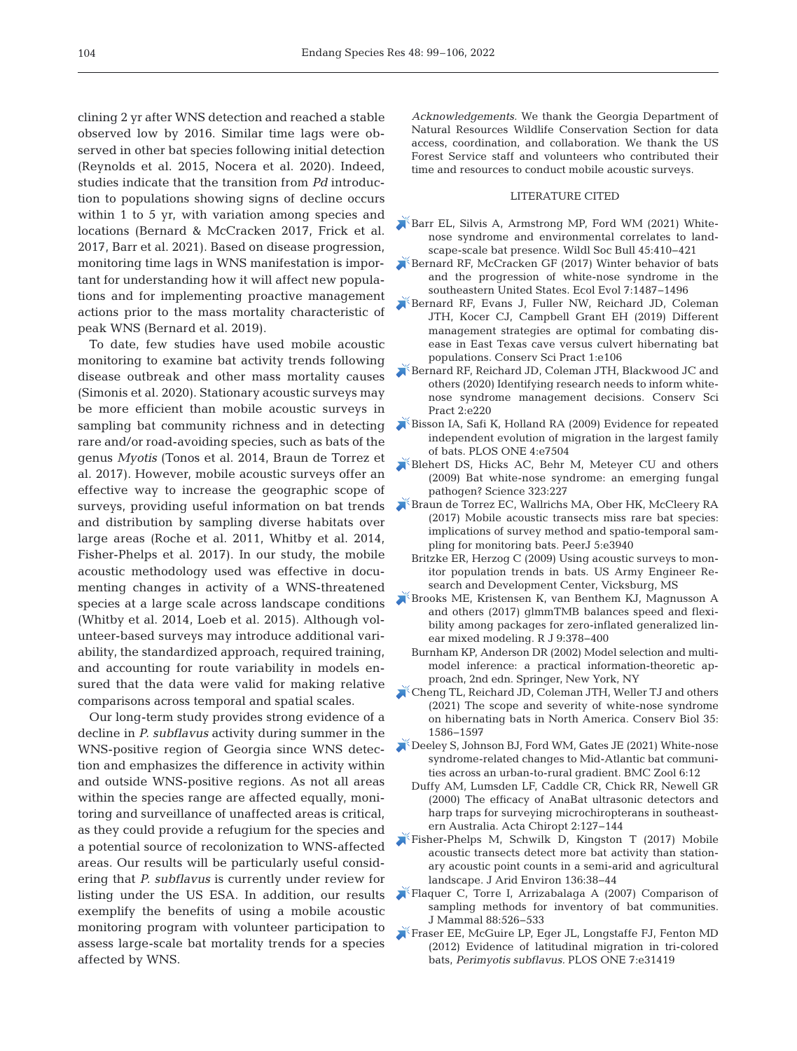clining 2 yr after WNS detection and reached a stable observed low by 2016. Similar time lags were observed in other bat species following initial detection (Reynolds et al. 2015, Nocera et al. 2020). Indeed, studies indicate that the transition from *Pd* introduction to populations showing signs of decline occurs within 1 to 5 yr, with variation among species and locations (Bernard & McCracken 2017, Frick et al. 2017, Barr et al. 2021). Based on disease progression, monitoring time lags in WNS manifestation is important for understanding how it will affect new populations and for implementing proactive management actions prior to the mass mortality characteristic of peak WNS (Bernard et al. 2019).

To date, few studies have used mobile acoustic monitoring to examine bat activity trends following disease outbreak and other mass mortality causes (Simonis et al. 2020). Stationary acoustic surveys may be more efficient than mobile acoustic surveys in sampling bat community richness and in detecting rare and/or road-avoiding species, such as bats of the genus *Myotis* (Tonos et al. 2014, Braun de Torrez et al. 2017). However, mobile acoustic surveys offer an effective way to increase the geographic scope of surveys, providing useful information on bat trends and distribution by sampling diverse habitats over large areas (Roche et al. 2011, Whitby et al. 2014, Fisher-Phelps et al. 2017). In our study, the mobile acoustic methodology used was effective in documenting changes in activity of a WNS-threatened species at a large scale across landscape conditions (Whitby et al. 2014, Loeb et al. 2015). Although volunteer-based surveys may introduce additional variability, the standardized approach, required training, and accounting for route variability in models ensured that the data were valid for making relative comparisons across temporal and spatial scales.

Our long-term study provides strong evidence of a decline in *P. subflavus* activity during summer in the WNS-positive region of Georgia since WNS detection and emphasizes the difference in activity within and outside WNS-positive regions. As not all areas within the species range are affected equally, monitoring and surveillance of unaffected areas is critical, as they could provide a refugium for the species and a potential source of recolonization to WNS-affected areas. Our results will be particularly useful considering that *P. subflavus* is currently under review for listing under the US ESA. In addition, our results exemplify the benefits of using a mobile acoustic monitoring program with volunteer participation to assess large-scale bat mortality trends for a species affected by WNS.

*Acknowledgements.* We thank the Georgia Department of Natural Resources Wildlife Conservation Section for data access, coordination, and collaboration. We thank the US Forest Service staff and volunteers who contributed their time and resources to conduct mobile acoustic surveys.

## LITERATURE CITED

- [Barr EL, Silvis A, Armstrong MP, Ford WM \(2021\) White](https://doi.org/10.1002/wsb.1215)nose syndrome and environmental correlates to landscape-scale bat presence. Wildl Soc Bull 45:410−421
- [Bernard RF, McCracken GF \(2017\) Winter behavior of bats](https://doi.org/10.1002/ece3.2772)  and the progression of white-nose syndrome in the southeastern United States. Ecol Evol 7: 1487−1496
- [Bernard RF, Evans J, Fuller NW, Reichard JD, Coleman](https://doi.org/10.1111/csp2.106)  JTH, Kocer CJ, Campbell Grant EH (2019) Different management strategies are optimal for combating disease in East Texas cave versus culvert hibernating bat populations. Conserv Sci Pract 1:e106
- [Bernard RF, Reichard JD, Coleman JTH, Blackwood JC and](https://doi.org/10.1111/csp2.220)  others (2020) Identifying research needs to inform whitenose syndrome management decisions. Conserv Sci Pract 2:e220
- [Bisson IA, Safi K, Holland RA \(2009\) Evidence for repeated](https://doi.org/10.1371/journal.pone.0007504)  independent evolution of migration in the largest family of bats. PLOS ONE 4:e7504
- Blehert DS, Hicks AC, Behr M, Meteyer CU and others (2009) Bat white-nose syndrome: an emerging fungal pathogen? Science 323:227
- [Braun de Torrez EC, Wallrichs MA, Ober HK, McCleery RA](https://doi.org/10.7717/peerj.3940)  (2017) Mobile acoustic transects miss rare bat species: implications of survey method and spatio-temporal sampling for monitoring bats. PeerJ 5:e3940
	- Britzke ER, Herzog C (2009) Using acoustic surveys to monitor population trends in bats. US Army Engineer Re search and Development Center, Vicksburg, MS
- [Brooks ME, Kristensen K, van Benthem KJ, Magnusson A](https://doi.org/10.32614/RJ-2017-066)  and others (2017) glmmTMB balances speed and flexibility among packages for zero-inflated generalized linear mixed modeling. R J 9:378-400
	- Burnham KP, Anderson DR (2002) Model selection and multimodel inference: a practical information-theoretic approach, 2nd edn. Springer, New York, NY
- [Cheng TL, Reichard JD, Coleman JTH, Weller TJ and others](https://pubmed.ncbi.nlm.nih.gov/33877716)  (2021) The scope and severity of white-nose syndrome on hibernating bats in North America. Conserv Biol 35: 1586−1597
- [Deeley S, Johnson BJ, Ford WM, Gates JE \(2021\) White-nose](https://doi.org/10.1186/s40850-021-00079-5)  syndrome-related changes to Mid-Atlantic bat communities across an urban-to-rural gradient. BMC Zool 6:12
	- Duffy AM, Lumsden LF, Caddle CR, Chick RR, Newell GR (2000) The efficacy of AnaBat ultrasonic detectors and harp traps for surveying microchiropterans in southeastern Australia. Acta Chiropt 2: 127−144
- [Fisher-Phelps M, Schwilk D, Kingston T \(2017\) Mobile](https://doi.org/10.1016/j.jaridenv.2016.10.005)  acoustic transects detect more bat activity than stationary acoustic point counts in a semi-arid and agricultural landscape. J Arid Environ 136:38-44
- [Flaquer C, Torre I, Arrizabalaga A \(2007\) Comparison of](https://doi.org/10.1644/06-MAMM-A-135R1.1)  sampling methods for inventory of bat communities. J Mammal 88:526-533
- [Fraser EE, McGuire LP, Eger JL, Longstaffe FJ, Fenton MD](https://doi.org/10.1371/journal.pone.0031419)  (2012) Evidence of latitudinal migration in tri-colored bats, *Perimyotis subflavus.* PLOS ONE 7:e31419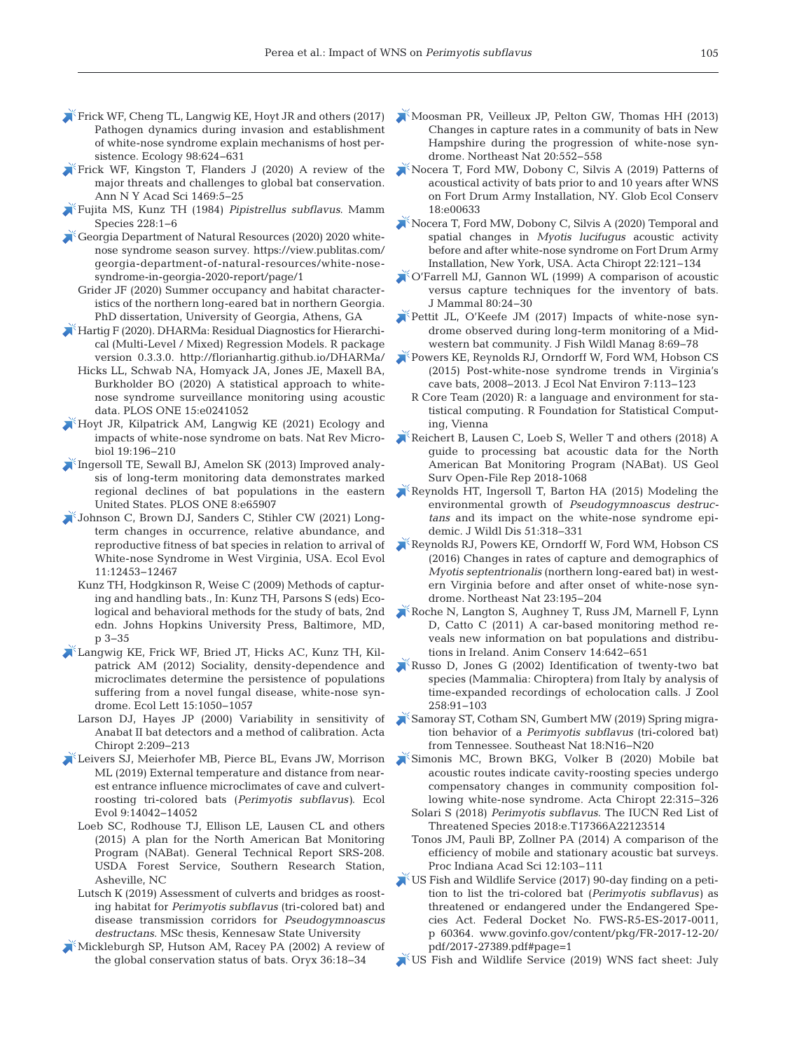- Frick WF, Cheng TL, Langwig KE, Hoyt JR and others (2017) Pathogen dynamics during invasion and establishment of white-nose syndrome explain mechanisms of host persistence. Ecology 98:624-631
- [Frick WF, Kingston T, Flanders J \(2020\) A review of the](https://doi.org/10.1111/nyas.14045)  major threats and challenges to global bat conservation. Ann N Y Acad Sci 1469:5-25
- [Fujita MS, Kunz TH \(1984\)](https://doi.org/10.2307/3504021) *Pipistrellus subflavus*. Mamm Species 228:1-6

[Georgia Department of Natural Resources \(2020\) 2020 white](https://view.publitas.com/georgia-department-of-natural-resources/white-nose-syndrome-in-georgia-2020-report/page/1)nose syndrome season survey. https: //view.publitas.com/ georgia-department-of-natural-resources/white-nosesyndrome-in-georgia-2020-report/page/1

Grider JF (2020) Summer occupancy and habitat characteristics of the northern long-eared bat in northern Georgia. PhD dissertation, University of Georgia, Athens, GA

[Hartig F \(2020\). DHARMa: Residual Diagnostics for Hierarchi](https://doi.org/10.1371/journal.pone.0241052)cal (Multi-Level / Mixed) Regression Models. R package version 0.3.3.0. http://florianhartig.github.io/DHARMa/

- Hicks LL, Schwab NA, Homyack JA, Jones JE, Maxell BA, Burkholder BO (2020) A statistical approach to whitenose syndrome surveillance monitoring using acoustic data. PLOS ONE 15:e0241052
- $\blacktriangleright$  Hoyt JR, Kilpatrick AM, Langwig KE (2021) Ecology and impacts of white-nose syndrome on bats. Nat Rev Microbiol 19: 196−210
- [Ingersoll TE, Sewall BJ, Amelon SK \(2013\) Improved analy](https://doi.org/10.1371/journal.pone.0065907)sis of long-term monitoring data demonstrates marked regional declines of bat populations in the eastern United States. PLOS ONE 8:e65907
- [Johnson C, Brown DJ, Sanders C, Stihler CW \(2021\) Long](https://doi.org/10.1002/ece3.7991)term changes in occurrence, relative abundance, and reproductive fitness of bat species in relation to arrival of White-nose Syndrome in West Virginia, USA. Ecol Evol 11: 12453−12467
	- Kunz TH, Hodgkinson R, Weise C (2009) Methods of capturing and handling bats., In:Kunz TH, Parsons S (eds) Ecological and behavioral methods for the study of bats, 2nd edn. Johns Hopkins University Press, Baltimore, MD, p 3−35
- [Langwig KE, Frick WF, Bried JT, Hicks AC, Kunz TH, Kil](https://doi.org/10.1111/j.1461-0248.2012.01829.x)patrick AM (2012) Sociality, density-dependence and microclimates determine the persistence of populations suffering from a novel fungal disease, white-nose syndrome. Ecol Lett 15: 1050−1057
	- Larson DJ, Hayes JP (2000) Variability in sensitivity of Anabat II bat detectors and a method of calibration. Acta Chiropt 2: 209−213
- [Leivers SJ, Meierhofer MB, Pierce BL, Evans JW, Morrison](https://doi.org/10.1002/ece3.5841)  ML (2019) External temperature and distance from nearest entrance influence microclimates of cave and culvertroosting tri-colored bats (*Perimyotis subflavus)*. Ecol Evol 9: 14042−14052
	- Loeb SC, Rodhouse TJ, Ellison LE, Lausen CL and others (2015) A plan for the North American Bat Monitoring Program (NABat). General Technical Report SRS-208. USDA Forest Service, Southern Research Station, Asheville, NC
	- Lutsch K (2019) Assessment of culverts and bridges as roosting habitat for *Perimyotis subflavus* (tri-colored bat) and disease transmission corridors for *Pseudogymnoascus destructans*. MSc thesis, Kennesaw State University
- [Mickleburgh SP, Hutson AM, Racey PA \(2002\) A review of](https://doi.org/10.1017/S0030605302000054)  the global conservation status of bats. Oryx 36: 18−34
- [Moosman PR, Veilleux JP, Pelton GW, Thomas HH \(2013\)](https://doi.org/10.1656/045.020.0405)  Changes in capture rates in a community of bats in New Hampshire during the progression of white-nose syndrome. Northeast Nat 20:552-558
- [Nocera T, Ford MW, Dobony C, Silvis A \(2019\) Patterns of](https://doi.org/10.1016/j.gecco.2019.e00633)  acoustical activity of bats prior to and 10 years after WNS on Fort Drum Army Installation, NY. Glob Ecol Conserv 18: e00633
- [Nocera T, Ford MW, Dobony C, Silvis A \(2020\) Temporal and](https://doi.org/10.3161/15081109ACC2020.22.1.011)  spatial changes in *Myotis lucifugus* acoustic activity before and after white-nose syndrome on Fort Drum Army Installation, New York, USA. Acta Chiropt 22: 121−134
- [O'Farrell MJ, Gannon WL \(1999\) A comparison of acoustic](https://doi.org/10.2307/1383204)  versus capture techniques for the inventory of bats. J Mammal 80:24-30
- [Pettit JL, O'Keefe JM \(2017\) Impacts of white-nose syn](https://doi.org/10.3996/102016-JFWM-077)drome observed during long-term monitoring of a Midwestern bat community. J Fish Wildl Manag 8:69-78
- [Powers KE, Reynolds RJ, Orndorff W, Ford WM, Hobson CS](https://doi.org/10.5897/JENE2015.0507)  (2015) Post-white-nose syndrome trends in Virginia's cave bats, 2008−2013. J Ecol Nat Environ 7: 113−123
	- R Core Team (2020) R: a language and environment for statistical computing. R Foundation for Statistical Computing, Vienna
- [Reichert B, Lausen C, Loeb S, Weller T and others \(2018\) A](https://doi.org/10.3133/ofr20181068)  guide to processing bat acoustic data for the North American Bat Monitoring Program (NABat). US Geol Surv Open-File Rep 2018-1068
- [Reynolds HT, Ingersoll T, Barton HA \(2015\) Modeling the](https://doi.org/10.7589/2014-06-157)  environmental growth of *Pseudogymnoascus destructans* and its impact on the white-nose syndrome epidemic. J Wildl Dis 51:318-331
- [Reynolds RJ, Powers KE, Orndorff W, Ford WM, Hobson CS](https://doi.org/10.1656/045.023.0201)  (2016) Changes in rates of capture and demographics of *Myotis septentrionalis* (northern long-eared bat) in western Virginia before and after onset of white-nose syndrome. Northeast Nat 23: 195−204
- [Roche N, Langton S, Aughney T, Russ JM, Marnell F, Lynn](https://doi.org/10.1111/j.1469-1795.2011.00470.x)  D, Catto C (2011) A car-based monitoring method reveals new information on bat populations and distributions in Ireland. Anim Conserv 14:642-651
- [Russo D, Jones G \(2002\) Identification of twenty-two bat](https://doi.org/10.1017/S0952836902001231)  species (Mammalia:Chiroptera) from Italy by analysis of time-expanded recordings of echolocation calls. J Zool 258: 91−103
- [Samoray ST, Cotham SN, Gumbert MW \(2019\) Spring migra](https://doi.org/10.1656/058.018.0302)tion behavior of a *Perimyotis subflavus* (tri-colored bat) from Tennessee. Southeast Nat 18: N16−N20
- [Simonis MC, Brown BKG, Volker B \(2020\) Mobile bat](https://doi.org/10.3161/15081109ACC2020.22.2.007)  acoustic routes indicate cavity-roosting species undergo compensatory changes in community composition following white-nose syndrome. Acta Chiropt 22:315-326
	- Solari S (2018) *Perimyotis subflavus*. The IUCN Red List of Threatened Species 2018:e.T17366A22123514
	- Tonos JM, Pauli BP, Zollner PA (2014) A comparison of the efficiency of mobile and stationary acoustic bat surveys. Proc Indiana Acad Sci 12: 103−111
- [US Fish and Wildlife Service \(2017\) 90-day finding on a peti](http://www.govinfo.gov/content/pkg/FR-2017-12-20/pdf/2017-27389.pdf)tion to list the tri-colored bat (*Perimyotis subflavus)* as threatened or endangered under the Endangered Species Act. Federal Docket No. FWS-R5-ES-2017-0011, p 60364. www.govinfo.gov/content/pkg/FR-2017-12-20/ pdf/2017-27389.pdf#page=1
- US Fish and Wildlife Service (2019) WNS fact sheet: July